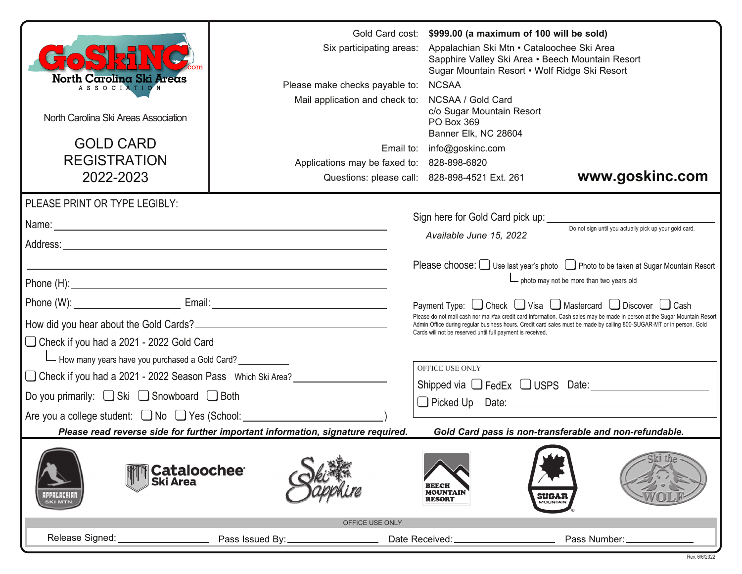|                                                                                                                                           | Six participating areas:                   | Gold Card cost: | \$999.00 (a maximum of 100 will be sold)<br>Appalachian Ski Mtn • Cataloochee Ski Area<br>Sapphire Valley Ski Area • Beech Mountain Resort<br>Sugar Mountain Resort • Wolf Ridge Ski Resort                                                          |                                                                                     |  |
|-------------------------------------------------------------------------------------------------------------------------------------------|--------------------------------------------|-----------------|------------------------------------------------------------------------------------------------------------------------------------------------------------------------------------------------------------------------------------------------------|-------------------------------------------------------------------------------------|--|
| North Carolina Ski Areas<br>ASSOCIATION                                                                                                   | Please make checks payable to:             |                 | <b>NCSAA</b>                                                                                                                                                                                                                                         |                                                                                     |  |
| North Carolina Ski Areas Association                                                                                                      | Mail application and check to:             |                 | NCSAA / Gold Card<br>c/o Sugar Mountain Resort<br>PO Box 369<br>Banner Elk, NC 28604                                                                                                                                                                 |                                                                                     |  |
| <b>GOLD CARD</b>                                                                                                                          |                                            |                 | Email to: info@goskinc.com                                                                                                                                                                                                                           |                                                                                     |  |
| <b>REGISTRATION</b>                                                                                                                       | Applications may be faxed to: 828-898-6820 |                 |                                                                                                                                                                                                                                                      |                                                                                     |  |
| 2022-2023                                                                                                                                 |                                            |                 | Questions: please call: 828-898-4521 Ext. 261                                                                                                                                                                                                        | www.goskinc.com                                                                     |  |
| PLEASE PRINT OR TYPE LEGIBLY:                                                                                                             |                                            |                 |                                                                                                                                                                                                                                                      |                                                                                     |  |
|                                                                                                                                           |                                            |                 | Sign here for Gold Card pick up:                                                                                                                                                                                                                     |                                                                                     |  |
|                                                                                                                                           |                                            |                 | Available June 15, 2022                                                                                                                                                                                                                              | Do not sign until you actually pick up your gold card.                              |  |
|                                                                                                                                           |                                            |                 |                                                                                                                                                                                                                                                      |                                                                                     |  |
|                                                                                                                                           |                                            |                 |                                                                                                                                                                                                                                                      | Please choose: U Use last year's photo U Photo to be taken at Sugar Mountain Resort |  |
|                                                                                                                                           |                                            |                 |                                                                                                                                                                                                                                                      | $\Box$ photo may not be more than two years old                                     |  |
|                                                                                                                                           |                                            |                 | Payment Type: □ Check □ Visa □ Mastercard □ Discover □ Cash                                                                                                                                                                                          |                                                                                     |  |
|                                                                                                                                           |                                            |                 | Please do not mail cash nor mail/fax credit card information. Cash sales may be made in person at the Sugar Mountain Resort<br>Admin Office during regular business hours. Credit card sales must be made by calling 800-SUGAR-MT or in person. Gold |                                                                                     |  |
| □ Check if you had a 2021 - 2022 Gold Card                                                                                                |                                            |                 | Cards will not be reserved until full payment is received.                                                                                                                                                                                           |                                                                                     |  |
| - How many years have you purchased a Gold Card?                                                                                          |                                            |                 |                                                                                                                                                                                                                                                      |                                                                                     |  |
| □ Check if you had a 2021 - 2022 Season Pass Which Ski Area?                                                                              |                                            |                 | OFFICE USE ONLY                                                                                                                                                                                                                                      |                                                                                     |  |
| Do you primarily: $\Box$ Ski $\Box$ Snowboard $\Box$ Both                                                                                 |                                            |                 | Picked Up Date: New York Changes and Changes of Picked Up Date:                                                                                                                                                                                      | Shipped via $\Box$ FedEx $\Box$ USPS Date:                                          |  |
| Are you a college student: □ No □ Yes (School: <u>□ □ □ □ □ □</u>                                                                         |                                            |                 |                                                                                                                                                                                                                                                      |                                                                                     |  |
| Please read reverse side for further important information, signature required.<br>Gold Card pass is non-transferable and non-refundable. |                                            |                 |                                                                                                                                                                                                                                                      |                                                                                     |  |
| <b>Cataloochee</b><br>Ski Area<br>1 PPA LA CHIAI<br>SKI MTN.                                                                              |                                            |                 | <b>BEECH</b><br><b>MOUNTAIN</b><br><b>SUGAR</b><br><b>RESORT</b>                                                                                                                                                                                     |                                                                                     |  |
|                                                                                                                                           | OFFICE USE ONLY                            |                 |                                                                                                                                                                                                                                                      |                                                                                     |  |
| Release Signed:                                                                                                                           | Pass Issued By:_                           | Date Received:  |                                                                                                                                                                                                                                                      | Pass Number:                                                                        |  |